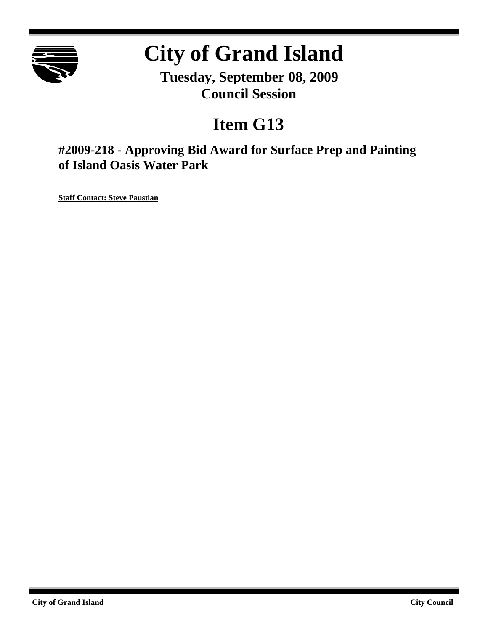

# **City of Grand Island**

**Tuesday, September 08, 2009 Council Session**

## **Item G13**

**#2009-218 - Approving Bid Award for Surface Prep and Painting of Island Oasis Water Park**

**Staff Contact: Steve Paustian**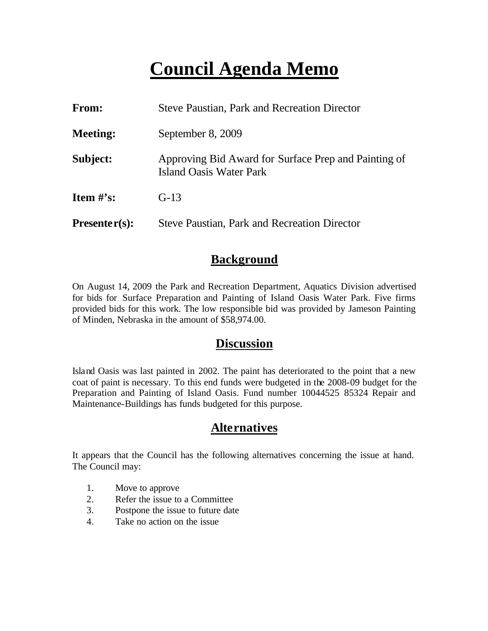## **Council Agenda Memo**

| <b>From:</b>                   | <b>Steve Paustian, Park and Recreation Director</b>                             |  |
|--------------------------------|---------------------------------------------------------------------------------|--|
| <b>Meeting:</b>                | September 8, 2009                                                               |  |
| Subject:                       | Approving Bid Award for Surface Prep and Painting of<br>Island Oasis Water Park |  |
| <b>Item <math>\#</math>'s:</b> | $G-13$                                                                          |  |
| $Presenter(s):$                | <b>Steve Paustian, Park and Recreation Director</b>                             |  |

### **Background**

On August 14, 2009 the Park and Recreation Department, Aquatics Division advertised for bids for Surface Preparation and Painting of Island Oasis Water Park. Five firms provided bids for this work. The low responsible bid was provided by Jameson Painting of Minden, Nebraska in the amount of \$58,974.00.

### **Discussion**

Island Oasis was last painted in 2002. The paint has deteriorated to the point that a new coat of paint is necessary. To this end funds were budgeted in the 2008-09 budget for the Preparation and Painting of Island Oasis. Fund number 10044525 85324 Repair and Maintenance-Buildings has funds budgeted for this purpose.

## **Alternatives**

It appears that the Council has the following alternatives concerning the issue at hand. The Council may:

- 1. Move to approve
- 2. Refer the issue to a Committee
- 3. Postpone the issue to future date
- 4. Take no action on the issue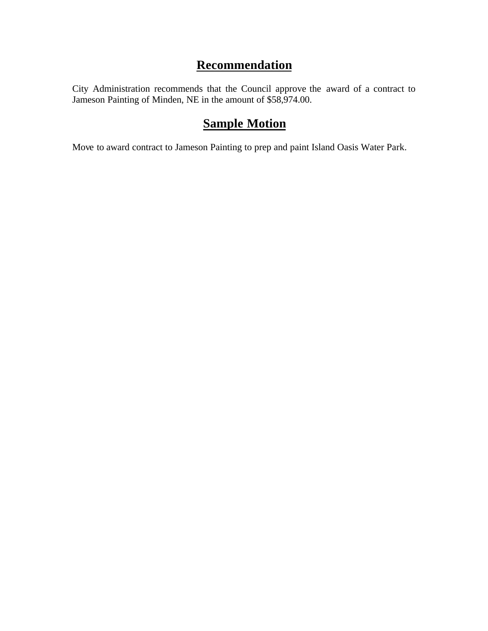## **Recommendation**

City Administration recommends that the Council approve the award of a contract to Jameson Painting of Minden, NE in the amount of \$58,974.00.

## **Sample Motion**

Move to award contract to Jameson Painting to prep and paint Island Oasis Water Park.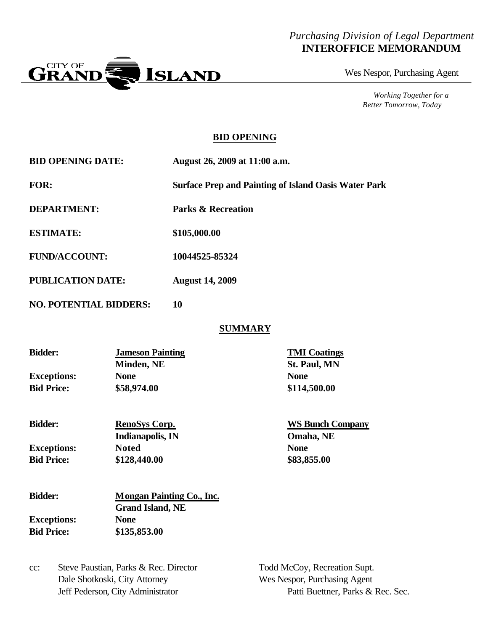#### *Purchasing Division of Legal Department* **INTEROFFICE MEMORANDUM**



Wes Nespor, Purchasing Agent

*Working Together for a Better Tomorrow, Today*

#### **BID OPENING**

| <b>BID OPENING DATE:</b> | August 26, 2009 at 11:00 a.m. |
|--------------------------|-------------------------------|
|                          |                               |

**FOR: Surface Prep and Painting of Island Oasis Water Park**

**DEPARTMENT: Parks & Recreation**

**ESTIMATE: \$105,000.00**

**FUND/ACCOUNT: 10044525-85324**

**PUBLICATION DATE: August 14, 2009**

**NO. POTENTIAL BIDDERS: 10**

#### **SUMMARY**

| <b>Jameson Painting</b> | <b>TMI Coatings</b> |
|-------------------------|---------------------|
| Minden, NE              | <b>St. Paul, MN</b> |
| <b>None</b>             | <b>None</b>         |
| \$58,974.00             | \$114,500.00        |
|                         |                     |

| <b>Bidder:</b>     | RenoSys Corp.    | <b>WS Bunch Company</b> |  |
|--------------------|------------------|-------------------------|--|
|                    | Indianapolis, IN | Omaha, NE               |  |
| <b>Exceptions:</b> | Noted            | <b>None</b>             |  |
| <b>Bid Price:</b>  | \$128,440.00     | \$83,855.00             |  |
|                    |                  |                         |  |

| <b>Bidder:</b>     | Mongan Painting Co., Inc. |
|--------------------|---------------------------|
|                    | <b>Grand Island, NE</b>   |
| <b>Exceptions:</b> | None                      |
| <b>Bid Price:</b>  | \$135,853.00              |
|                    |                           |

cc: Steve Paustian, Parks & Rec. Director Todd McCoy, Recreation Supt. Dale Shotkoski, City Attorney Wes Nespor, Purchasing Agent

Jeff Pederson, City Administrator Patti Buettner, Parks & Rec. Sec.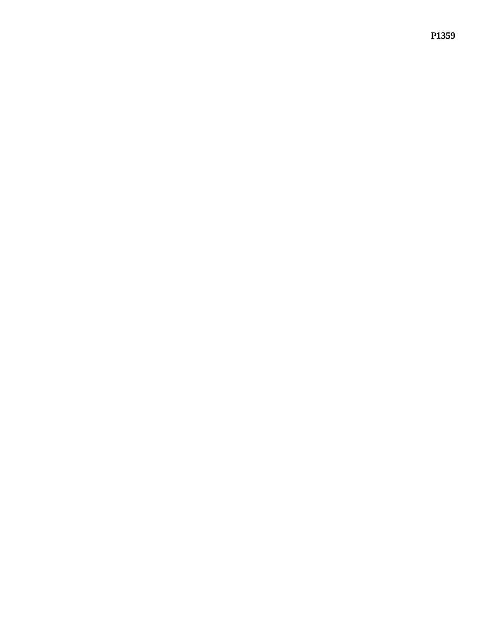**P1359**